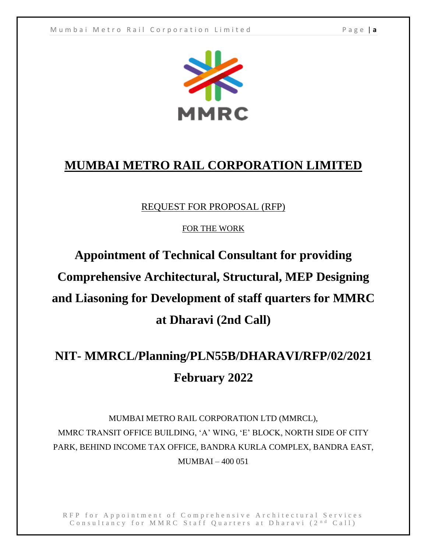

### **MUMBAI METRO RAIL CORPORATION LIMITED**

#### REQUEST FOR PROPOSAL (RFP)

FOR THE WORK

# **Appointment of Technical Consultant for providing Comprehensive Architectural, Structural, MEP Designing and Liasoning for Development of staff quarters for MMRC at Dharavi (2nd Call)**

## **NIT- MMRCL/Planning/PLN55B/DHARAVI/RFP/02/2021 February 2022**

MUMBAI METRO RAIL CORPORATION LTD (MMRCL), MMRC TRANSIT OFFICE BUILDING, 'A' WING, 'E' BLOCK, NORTH SIDE OF CITY PARK, BEHIND INCOME TAX OFFICE, BANDRA KURLA COMPLEX, BANDRA EAST, MUMBAI – 400 051

RFP for Appointment of Comprehensive Architectural Services Consultancy for MMRC Staff Quarters at Dharavi (2<sup>nd</sup> Call)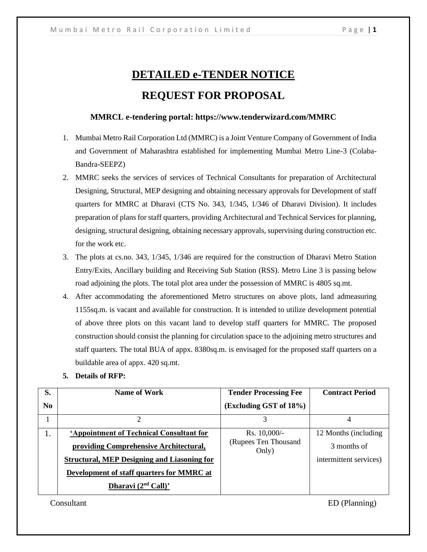## **DETAILED e-TENDER NOTICE REQUEST FOR PROPOSAL**

#### **MMRCL e-tendering portal: https://www.tenderwizard.com/MMRC**

- 1. Mumbai Metro Rail Corporation Ltd (MMRC) is a Joint Venture Company of Government of India and Government of Maharashtra established for implementing Mumbai Metro Line-3 (Colaba-Bandra-SEEPZ)
- 2. MMRC seeks the services of services of Technical Consultants for preparation of Architectural Designing, Structural, MEP designing and obtaining necessary approvals for Development of staff quarters for MMRC at Dharavi (CTS No. 343, 1/345, 1/346 of Dharavi Division). It includes preparation of plans for staff quarters, providing Architectural and Technical Services for planning, designing, structural designing, obtaining necessary approvals, supervising during construction etc. for the work etc.
- 3. The plots at cs.no. 343, 1/345, 1/346 are required for the construction of Dharavi Metro Station Entry/Exits, Ancillary building and Receiving Sub Station (RSS). Metro Line 3 is passing below road adjoining the plots. The total plot area under the possession of MMRC is 4805 sq.mt.
- 4. After accommodating the aforementioned Metro structures on above plots, land admeasuring 1155sq.m. is vacant and available for construction. It is intended to utilize development potential of above three plots on this vacant land to develop staff quarters for MMRC. The proposed construction should consist the planning for circulation space to the adjoining metro structures and staff quarters. The total BUA of appx. 8380sq.m. is envisaged for the proposed staff quarters on a buildable area of appx. 420 sq.mt.
- **5. Details of RFP:**

| S.             | Name of Work                                       | <b>Tender Processing Fee</b>  | <b>Contract Period</b> |
|----------------|----------------------------------------------------|-------------------------------|------------------------|
| N <sub>0</sub> |                                                    | (Excluding GST of 18%)        |                        |
|                |                                                    | 3                             | 4                      |
| Ι.             | 'Appointment of Technical Consultant for           | Rs. 10,000/-                  | 12 Months (including)  |
|                | providing Comprehensive Architectural,             | (Rupees Ten Thousand<br>Only) | 3 months of            |
|                | <b>Structural, MEP Designing and Liasoning for</b> |                               | intermittent services) |
|                | Development of staff quarters for MMRC at          |                               |                        |
|                | Dharavi $(2nd$ Call)'                              |                               |                        |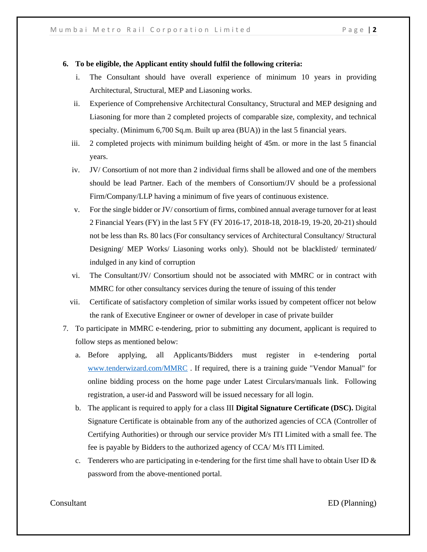#### **6. To be eligible, the Applicant entity should fulfil the following criteria:**

- i. The Consultant should have overall experience of minimum 10 years in providing Architectural, Structural, MEP and Liasoning works.
- ii. Experience of Comprehensive Architectural Consultancy, Structural and MEP designing and Liasoning for more than 2 completed projects of comparable size, complexity, and technical specialty. (Minimum 6,700 Sq.m. Built up area (BUA)) in the last 5 financial years.
- iii. 2 completed projects with minimum building height of 45m. or more in the last 5 financial years.
- iv. JV/ Consortium of not more than 2 individual firms shall be allowed and one of the members should be lead Partner. Each of the members of Consortium/JV should be a professional Firm/Company/LLP having a minimum of five years of continuous existence.
- v. For the single bidder or JV/ consortium of firms, combined annual average turnover for at least 2 Financial Years (FY) in the last 5 FY (FY 2016-17, 2018-18, 2018-19, 19-20, 20-21) should not be less than Rs. 80 lacs (For consultancy services of Architectural Consultancy/ Structural Designing/ MEP Works/ Liasoning works only). Should not be blacklisted/ terminated/ indulged in any kind of corruption
- vi. The Consultant/JV/ Consortium should not be associated with MMRC or in contract with MMRC for other consultancy services during the tenure of issuing of this tender
- vii. Certificate of satisfactory completion of similar works issued by competent officer not below the rank of Executive Engineer or owner of developer in case of private builder
- 7. To participate in MMRC e-tendering, prior to submitting any document, applicant is required to follow steps as mentioned below:
	- a. Before applying, all Applicants/Bidders must register in e-tendering portal [www.tenderwizard.com/MMRC](http://www.tenderwizard.com/MMRC.) . If required, there is a training guide "Vendor Manual" for online bidding process on the home page under Latest Circulars/manuals link. Following registration, a user-id and Password will be issued necessary for all login.
	- b. The applicant is required to apply for a class III **Digital Signature Certificate (DSC).** Digital Signature Certificate is obtainable from any of the authorized agencies of CCA (Controller of Certifying Authorities) or through our service provider M/s ITI Limited with a small fee. The fee is payable by Bidders to the authorized agency of CCA/ M/s ITI Limited.
	- c. Tenderers who are participating in e-tendering for the first time shall have to obtain User ID  $\&$ password from the above-mentioned portal.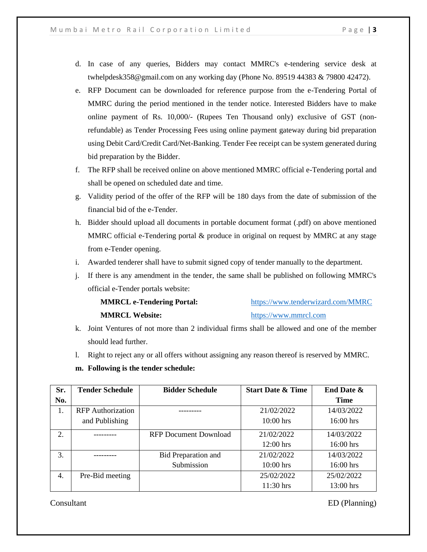- d. In case of any queries, Bidders may contact MMRC's e-tendering service desk at twhelpdesk358@gmail.com on any working day (Phone No. 89519 44383 & 79800 42472).
- e. RFP Document can be downloaded for reference purpose from the e-Tendering Portal of MMRC during the period mentioned in the tender notice. Interested Bidders have to make online payment of Rs. 10,000/- (Rupees Ten Thousand only) exclusive of GST (nonrefundable) as Tender Processing Fees using online payment gateway during bid preparation using Debit Card/Credit Card/Net-Banking. Tender Fee receipt can be system generated during bid preparation by the Bidder.
- f. The RFP shall be received online on above mentioned MMRC official e-Tendering portal and shall be opened on scheduled date and time.
- g. Validity period of the offer of the RFP will be 180 days from the date of submission of the financial bid of the e-Tender.
- h. Bidder should upload all documents in portable document format (.pdf) on above mentioned MMRC official e-Tendering portal  $&$  produce in original on request by MMRC at any stage from e-Tender opening.
- i. Awarded tenderer shall have to submit signed copy of tender manually to the department.
- j. If there is any amendment in the tender, the same shall be published on following MMRC's official e-Tender portals website:

| <b>MMRCL e-Tendering Portal:</b> | https://www.tenderwizard.com/MMRC |
|----------------------------------|-----------------------------------|
| <b>MMRCL Website:</b>            | https://www.mmrcl.com             |

- k. Joint Ventures of not more than 2 individual firms shall be allowed and one of the member should lead further.
- l. Right to reject any or all offers without assigning any reason thereof is reserved by MMRC.
- **m. Following is the tender schedule:**

| Sr. | <b>Tender Schedule</b>   | <b>Bidder Schedule</b>       | <b>Start Date &amp; Time</b> | <b>End Date &amp;</b> |
|-----|--------------------------|------------------------------|------------------------------|-----------------------|
| No. |                          |                              |                              | <b>Time</b>           |
| 1.  | <b>RFP</b> Authorization |                              | 21/02/2022                   | 14/03/2022            |
|     | and Publishing           |                              | $10:00$ hrs                  | $16:00$ hrs           |
| 2.  |                          | <b>RFP Document Download</b> | 21/02/2022                   | 14/03/2022            |
|     |                          |                              | $12:00$ hrs                  | 16:00 hrs             |
| 3.  |                          | <b>Bid Preparation and</b>   | 21/02/2022                   | 14/03/2022            |
|     |                          | Submission                   | $10:00$ hrs                  | $16:00$ hrs           |
| 4.  | Pre-Bid meeting          |                              | 25/02/2022                   | 25/02/2022            |
|     |                          |                              | $11:30$ hrs                  | $13:00$ hrs           |